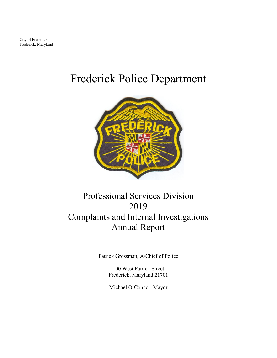City of Frederick Frederick, Maryland

# Frederick Police Department



### Professional Services Division 2019 Complaints and Internal Investigations Annual Report

Patrick Grossman, A/Chief of Police

100 West Patrick Street Frederick, Maryland 21701

Michael O'Connor, Mayor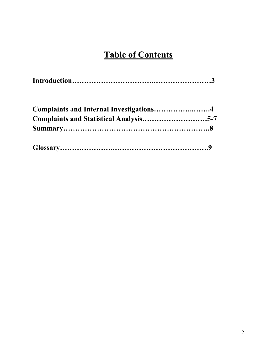## **Table of Contents**

| Complaints and Internal Investigations4 |  |
|-----------------------------------------|--|
|                                         |  |
|                                         |  |
|                                         |  |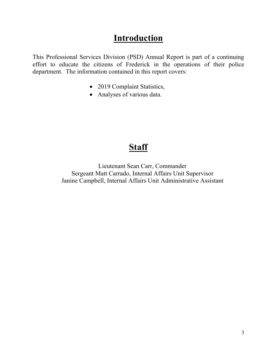#### **Introduction**

This Professional Services Division (PSD) Annual Report is part of a continuing effort to educate the citizens of Frederick in the operations of their police department. The information contained in this report covers:

- 2019 Complaint Statistics,
- Analyses of various data.

## **Staff**

Lieutenant Sean Carr, Commander Sergeant Matt Carrado, Internal Affairs Unit Supervisor Janine Campbell, Internal Affairs Unit Administrative Assistant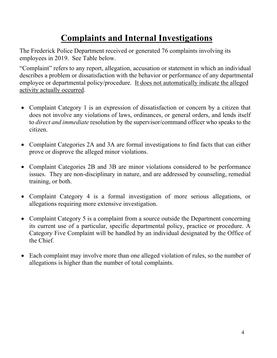## **Complaints and Internal Investigations**

The Frederick Police Department received or generated 76 complaints involving its employees in 2019. See Table below.

"Complaint" refers to any report, allegation, accusation or statement in which an individual describes a problem or dissatisfaction with the behavior or performance of any departmental employee or departmental policy/procedure. It does not automatically indicate the alleged activity actually occurred.

- Complaint Category 1 is an expression of dissatisfaction or concern by a citizen that does not involve any violations of laws, ordinances, or general orders, and lends itself to *direct and immediate* resolution by the supervisor/command officer who speaks to the citizen.
- Complaint Categories 2A and 3A are formal investigations to find facts that can either prove or disprove the alleged minor violations.
- Complaint Categories 2B and 3B are minor violations considered to be performance issues. They are non-disciplinary in nature, and are addressed by counseling, remedial training, or both.
- Complaint Category 4 is a formal investigation of more serious allegations, or allegations requiring more extensive investigation.
- Complaint Category 5 is a complaint from a source outside the Department concerning its current use of a particular, specific departmental policy, practice or procedure. A Category Five Complaint will be handled by an individual designated by the Office of the Chief.
- Each complaint may involve more than one alleged violation of rules, so the number of allegations is higher than the number of total complaints.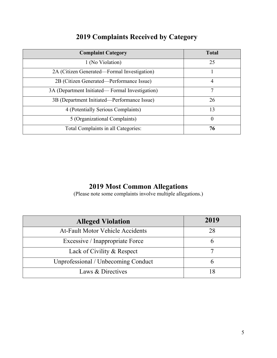|  | <b>2019 Complaints Received by Category</b> |  |  |  |
|--|---------------------------------------------|--|--|--|
|--|---------------------------------------------|--|--|--|

| <b>Complaint Category</b>                      | <b>Total</b> |
|------------------------------------------------|--------------|
| 1 (No Violation)                               | 25           |
| 2A (Citizen Generated—Formal Investigation)    |              |
| 2B (Citizen Generated—Performance Issue)       | 4            |
| 3A (Department Initiated—Formal Investigation) | 7            |
| 3B (Department Initiated—Performance Issue)    | 26           |
| 4 (Potentially Serious Complaints)             | 13           |
| 5 (Organizational Complaints)                  | $\theta$     |
| Total Complaints in all Categories:            | 76           |

#### **2019 Most Common Allegations**

(Please note some complaints involve multiple allegations.)

| <b>Alleged Violation</b>                | 2019 |
|-----------------------------------------|------|
| <b>At-Fault Motor Vehicle Accidents</b> | 28   |
| Excessive / Inappropriate Force         |      |
| Lack of Civility & Respect              |      |
| Unprofessional / Unbecoming Conduct     |      |
| Laws & Directives                       |      |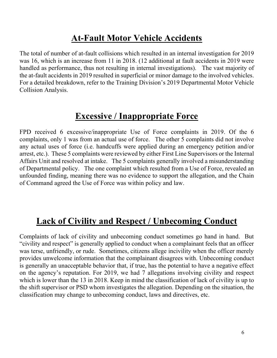### **At-Fault Motor Vehicle Accidents**

The total of number of at-fault collisions which resulted in an internal investigation for 2019 was 16, which is an increase from 11 in 2018. (12 additional at fault accidents in 2019 were handled as performance, thus not resulting in internal investigations). The vast majority of the at-fault accidents in 2019 resulted in superficial or minor damage to the involved vehicles. For a detailed breakdown, refer to the Training Division's 2019 Departmental Motor Vehicle Collision Analysis.

#### **Excessive / Inappropriate Force**

FPD received 6 excessive/inappropriate Use of Force complaints in 2019. Of the 6 complaints, only 1 was from an actual use of force. The other 5 complaints did not involve any actual uses of force (i.e. handcuffs were applied during an emergency petition and/or arrest, etc.). These 5 complaints were reviewed by either First Line Supervisors or the Internal Affairs Unit and resolved at intake. The 5 complaints generally involved a misunderstanding of Departmental policy. The one complaint which resulted from a Use of Force, revealed an unfounded finding, meaning there was no evidence to support the allegation, and the Chain of Command agreed the Use of Force was within policy and law.

## **Lack of Civility and Respect / Unbecoming Conduct**

Complaints of lack of civility and unbecoming conduct sometimes go hand in hand. But "civility and respect" is generally applied to conduct when a complainant feels that an officer was terse, unfriendly, or rude. Sometimes, citizens allege incivility when the officer merely provides unwelcome information that the complainant disagrees with. Unbecoming conduct is generally an unacceptable behavior that, if true, has the potential to have a negative effect on the agency's reputation. For 2019, we had 7 allegations involving civility and respect which is lower than the 13 in 2018. Keep in mind the classification of lack of civility is up to the shift supervisor or PSD whom investigates the allegation. Depending on the situation, the classification may change to unbecoming conduct, laws and directives, etc.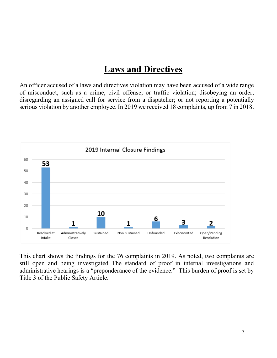#### **Laws and Directives**

An officer accused of a laws and directives violation may have been accused of a wide range of misconduct, such as a crime, civil offense, or traffic violation; disobeying an order; disregarding an assigned call for service from a dispatcher; or not reporting a potentially serious violation by another employee. In 2019 we received 18 complaints, up from 7 in 2018.



This chart shows the findings for the 76 complaints in 2019. As noted, two complaints are still open and being investigated The standard of proof in internal investigations and administrative hearings is a "preponderance of the evidence." This burden of proof is set by Title 3 of the Public Safety Article.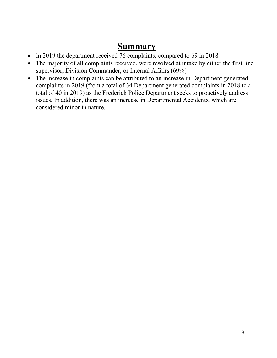#### **Summary**

- In 2019 the department received 76 complaints, compared to 69 in 2018.
- The majority of all complaints received, were resolved at intake by either the first line supervisor, Division Commander, or Internal Affairs (69%)
- The increase in complaints can be attributed to an increase in Department generated complaints in 2019 (from a total of 34 Department generated complaints in 2018 to a total of 40 in 2019) as the Frederick Police Department seeks to proactively address issues. In addition, there was an increase in Departmental Accidents, which are considered minor in nature.